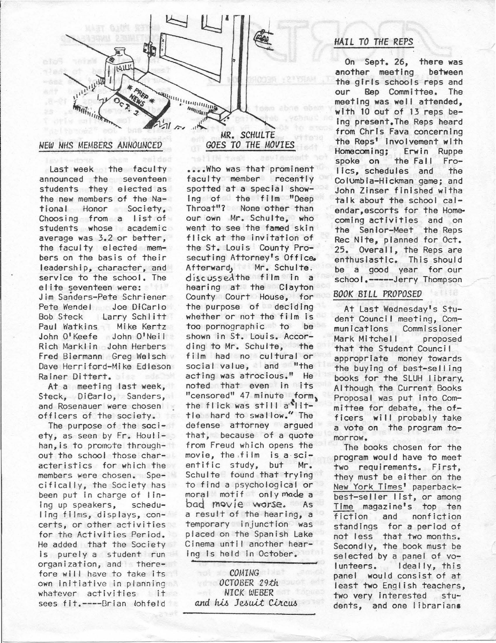

### *NEW NHS MEMBERS ANNOUNCED*

Last week the faculty announced the seventeen students they elected as the new members of the National Honor Society, Choosing from a list of students whose academic average was 3.2 or better, the faculty elected members on the basis of their leadership, character, and service to the school. The elite seventeen were: Jim Sanders-Pete Schriener Pete Wendel Joe DiCarlo<br>Bob Steck Larry Schlitt Larry Schlitt Paul Watkins Mike Kertz John O'Keefe John O'Neil Rich Markl in John Herbers Fred Biermann Greg Welsch Dave Herriford-Mike Edleson Rainer Dittert.

At a meeting last week, Steck, Dicarlo, Sanders, and Rosenauer were chosen officers of the society.

The purpose of the society, as seen by Fr. Houl ihan,is to promote throughout the school those characteristics for which the members were chosen. Speciflcal ly, the Society has been put in charge of linlng up speakers, schedu-1 ing films, displays, concerts, or other activities for the Activities Period. He added that the Society Is purely a student run organization, and therefore will have to take its own Initiative in planning whatever activities it sees fit.----Brian lohfeld

MR. *SCHULTE GOES TO THE MOVIES* 

•••• Who was that prominent faculty member recently spotted at a special showing of the film "Deep Throat"? None other than our own Mr. Schulte, who went to see the famed skin flick at the invitation of the St. Louis County Prosecuting Attorney's Office. Afterward, Mr. Schulte, discussed the film in a hearing at the Clayton County Court House, for the purpose of deciding whether or not the film is too pornographic to be shown in St. Louis. Accor-<br>ding to Mr. Schulte. the ding to Mr. Schulte, film had no cultural or social value, and "the acting was atrocious." He noted that even In its "censored" 47 minute form, the flick was still  $a^{\prime\prime}$  ittie hard to swallow." The defense attorney argued that, because of a quote from Freud which opens the movie, the film is a scientific 5tudy, but Mr. Schulte found that trying to find a psychological or moral motif only made a bad rnov ie worse. As a result of the hearing, a temporary injunction was placed on the Spanish Lake Cinema until another hearing is held in October.

*COMING OCTOBER 29th NICK WEBER*  and his Jesuit Circus

## *HAIL TO THE REPS*

On Sept. 26, there was another meeting between the girls schools reps and<br>our Rep Committee, The Rep Committee. The meeting was well attended, with 10 out of 13 reps be-Ing present.The Reps heard from Chris Fava concerning the Reps' Involvement with Homecoming; Erwin Ruppe the Fall Frolics, schedules and the Columbia-Hickman game; and John Zinser finished witha talk about the school calendar, escorts for the Homecoming activities and on the Senior-Meet the Reps Rec Nite, planned for Oct. 25. Overall, the Reps are enthusiastic. This should be a good year for our school.-----Jerry Thompson

#### *BOOK BILL PROPOSED*

At Last Wednesday's Student Counci I meeting, Communications Commissioner Mark Mitchell proposed that the Student Council appropriate money towards the buying of bast-selling books for the SLUH library. Although the Current Books Proposal was put Into Committee for debate, the officers will probably take a vote on the program tomorrow.

The books chosen for the program would have to meet two requirements. First, they must be either on the New York Times' paperbackbest-seller list, or among Time magazine's top ten fiction and nonfiction standings for a period of not less that two months. Secondly, the book must be selected by a panel of vo-<br>lunteers. Ideally, this ldeally, this panel would consist of at least two English teachers, two very Interested students, and one I ibrariana